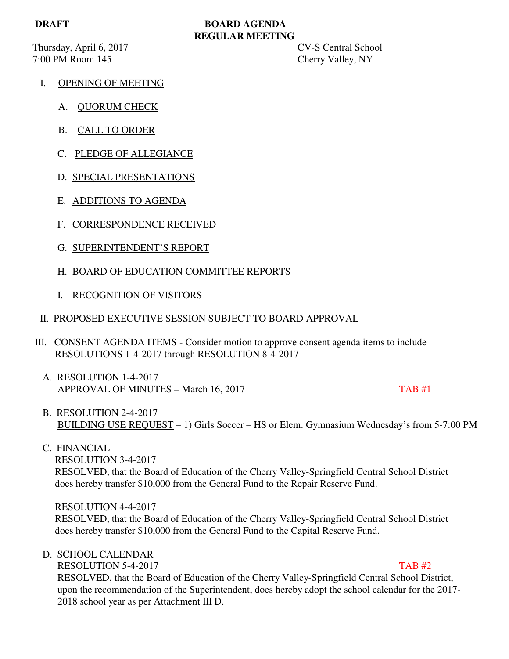Thursday, April 6, 2017 CV-S Central School 7:00 PM Room 145 Cherry Valley, NY

# **DRAFT BOARD AGENDA REGULAR MEETING**

- I. OPENING OF MEETING
	- A. QUORUM CHECK
	- B. CALL TO ORDER
	- C. PLEDGE OF ALLEGIANCE
	- D. SPECIAL PRESENTATIONS
	- E. ADDITIONS TO AGENDA
	- F. CORRESPONDENCE RECEIVED
	- G. SUPERINTENDENT'S REPORT
	- H. BOARD OF EDUCATION COMMITTEE REPORTS
	- I. RECOGNITION OF VISITORS
- II. PROPOSED EXECUTIVE SESSION SUBJECT TO BOARD APPROVAL
- III. CONSENT AGENDA ITEMS Consider motion to approve consent agenda items to include RESOLUTIONS 1-4-2017 through RESOLUTION 8-4-2017
	- A. RESOLUTION 1-4-2017 APPROVAL OF MINUTES – March 16, 2017 TAB #1

- B. RESOLUTION 2-4-2017 BUILDING USE REQUEST – 1) Girls Soccer – HS or Elem. Gymnasium Wednesday's from 5-7:00 PM
- C. FINANCIAL

 RESOLUTION 3-4-2017 RESOLVED, that the Board of Education of the Cherry Valley-Springfield Central School District does hereby transfer \$10,000 from the General Fund to the Repair Reserve Fund.

RESOLUTION 4-4-2017

 RESOLVED, that the Board of Education of the Cherry Valley-Springfield Central School District does hereby transfer \$10,000 from the General Fund to the Capital Reserve Fund.

### D. SCHOOL CALENDAR

RESOLUTION 5-4-2017 TAB #2 RESOLVED, that the Board of Education of the Cherry Valley-Springfield Central School District, upon the recommendation of the Superintendent, does hereby adopt the school calendar for the 2017- 2018 school year as per Attachment III D.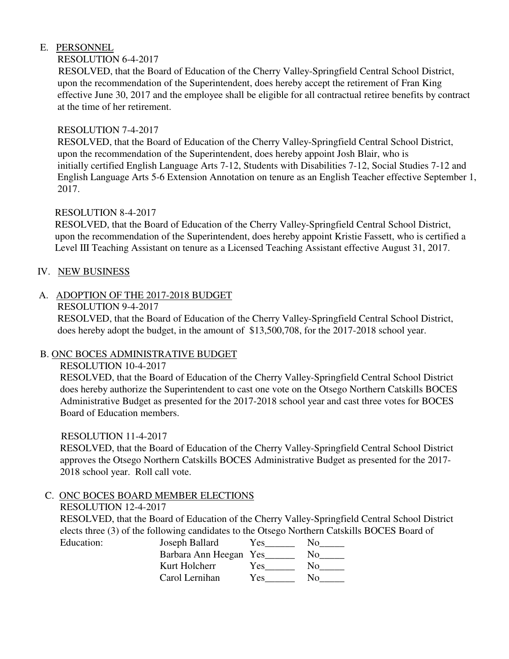# E. PERSONNEL

## RESOLUTION 6-4-2017

 RESOLVED, that the Board of Education of the Cherry Valley-Springfield Central School District, upon the recommendation of the Superintendent, does hereby accept the retirement of Fran King effective June 30, 2017 and the employee shall be eligible for all contractual retiree benefits by contract at the time of her retirement.

## RESOLUTION 7-4-2017

 RESOLVED, that the Board of Education of the Cherry Valley-Springfield Central School District, upon the recommendation of the Superintendent, does hereby appoint Josh Blair, who is initially certified English Language Arts 7-12, Students with Disabilities 7-12, Social Studies 7-12 and English Language Arts 5-6 Extension Annotation on tenure as an English Teacher effective September 1, 2017.

# RESOLUTION 8-4-2017

 RESOLVED, that the Board of Education of the Cherry Valley-Springfield Central School District, upon the recommendation of the Superintendent, does hereby appoint Kristie Fassett, who is certified a Level III Teaching Assistant on tenure as a Licensed Teaching Assistant effective August 31, 2017.

## IV. NEW BUSINESS

# A. ADOPTION OF THE 2017-2018 BUDGET

RESOLUTION 9-4-2017

 RESOLVED, that the Board of Education of the Cherry Valley-Springfield Central School District, does hereby adopt the budget, in the amount of \$13,500,708, for the 2017-2018 school year.

### B. ONC BOCES ADMINISTRATIVE BUDGET

RESOLUTION 10-4-2017

 RESOLVED, that the Board of Education of the Cherry Valley-Springfield Central School District does hereby authorize the Superintendent to cast one vote on the Otsego Northern Catskills BOCES Administrative Budget as presented for the 2017-2018 school year and cast three votes for BOCES Board of Education members.

### RESOLUTION 11-4-2017

 RESOLVED, that the Board of Education of the Cherry Valley-Springfield Central School District approves the Otsego Northern Catskills BOCES Administrative Budget as presented for the 2017- 2018 school year. Roll call vote.

# C. ONC BOCES BOARD MEMBER ELECTIONS

### RESOLUTION 12-4-2017

 RESOLVED, that the Board of Education of the Cherry Valley-Springfield Central School District elects three (3) of the following candidates to the Otsego Northern Catskills BOCES Board of Education:

| Education: | Joseph Ballard         | Y es |              |
|------------|------------------------|------|--------------|
|            | Barbara Ann Heegan Yes |      | No.          |
|            | Kurt Holcherr          | Y es | No.          |
|            | Carol Lernihan         | Yes  | $N_{\Omega}$ |